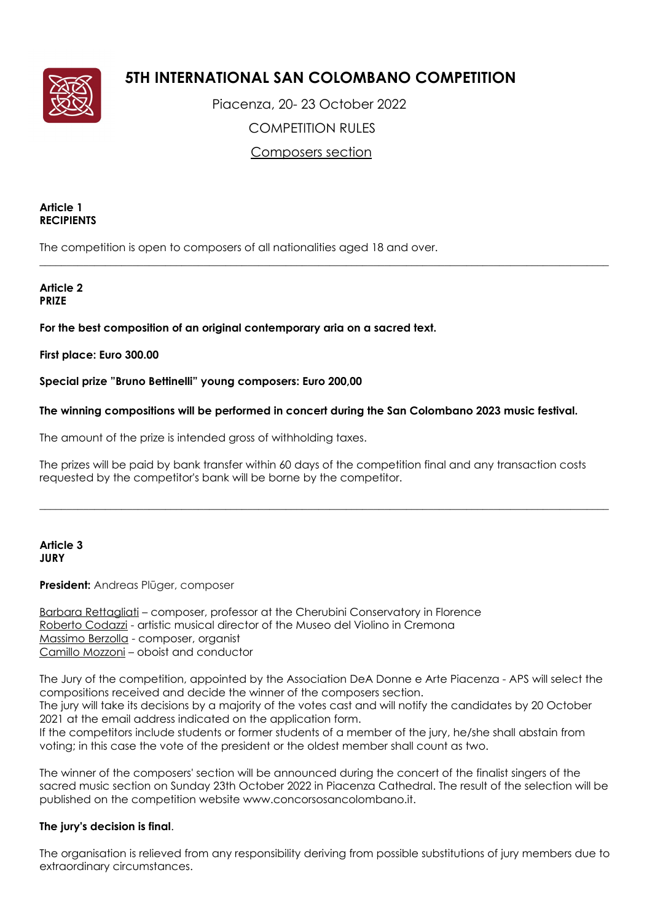

# **5TH INTERNATIONAL SAN COLOMBANO COMPETITION**

 Piacenza, 20- 23 October 2022 COMPETITION RULES Composers section

 $\_$  ,  $\_$  ,  $\_$  ,  $\_$  ,  $\_$  ,  $\_$  ,  $\_$  ,  $\_$  ,  $\_$  ,  $\_$  ,  $\_$  ,  $\_$  ,  $\_$  ,  $\_$  ,  $\_$  ,  $\_$  ,  $\_$  ,  $\_$  ,  $\_$  ,  $\_$  ,  $\_$  ,  $\_$  ,  $\_$  ,  $\_$  ,  $\_$  ,  $\_$  ,  $\_$  ,  $\_$  ,  $\_$  ,  $\_$  ,  $\_$  ,  $\_$  ,  $\_$  ,  $\_$  ,  $\_$  ,  $\_$  ,  $\_$  ,

### **Article 1 RECIPIENTS**

The competition is open to composers of all nationalities aged 18 and over.

### **Article 2 PRIZE**

# **For the best composition of an original contemporary aria on a sacred text.**

# **First place: Euro 300.00**

**Special prize "Bruno Bettinelli" young composers: Euro 200,00**

# **The winning compositions will be performed in concert during the San Colombano 2023 music festival.**

The amount of the prize is intended gross of withholding taxes.

The prizes will be paid by bank transfer within 60 days of the competition final and any transaction costs requested by the competitor's bank will be borne by the competitor.

\_\_\_\_\_\_\_\_\_\_\_\_\_\_\_\_\_\_\_\_\_\_\_\_\_\_\_\_\_\_\_\_\_\_\_\_\_\_\_\_\_\_\_\_\_\_\_\_\_\_\_\_\_\_\_\_\_\_\_\_\_\_\_\_\_\_\_\_\_\_\_\_\_\_\_\_\_\_\_\_\_\_\_\_\_\_\_\_\_\_\_\_\_\_\_\_\_\_\_\_\_\_\_\_

### **Article 3 JURY**

# **President:** Andreas Plūger, composer

Barbara Rettagliati – composer, professor at the Cherubini Conservatory in Florence Roberto Codazzi - artistic musical director of the Museo del Violino in Cremona Massimo Berzolla - composer, organist Camillo Mozzoni – oboist and conductor

The Jury of the competition, appointed by the Association DeA Donne e Arte Piacenza - APS will select the compositions received and decide the winner of the composers section. The jury will take its decisions by a majority of the votes cast and will notify the candidates by 20 October 2021 at the email address indicated on the application form.

If the competitors include students or former students of a member of the jury, he/she shall abstain from voting; in this case the vote of the president or the oldest member shall count as two.

The winner of the composers' section will be announced during the concert of the finalist singers of the sacred music section on Sunday 23th October 2022 in Piacenza Cathedral. The result of the selection will be published on the competition website www.concorsosancolombano.it.

# **The jury's decision is final**.

The organisation is relieved from any responsibility deriving from possible substitutions of jury members due to extraordinary circumstances.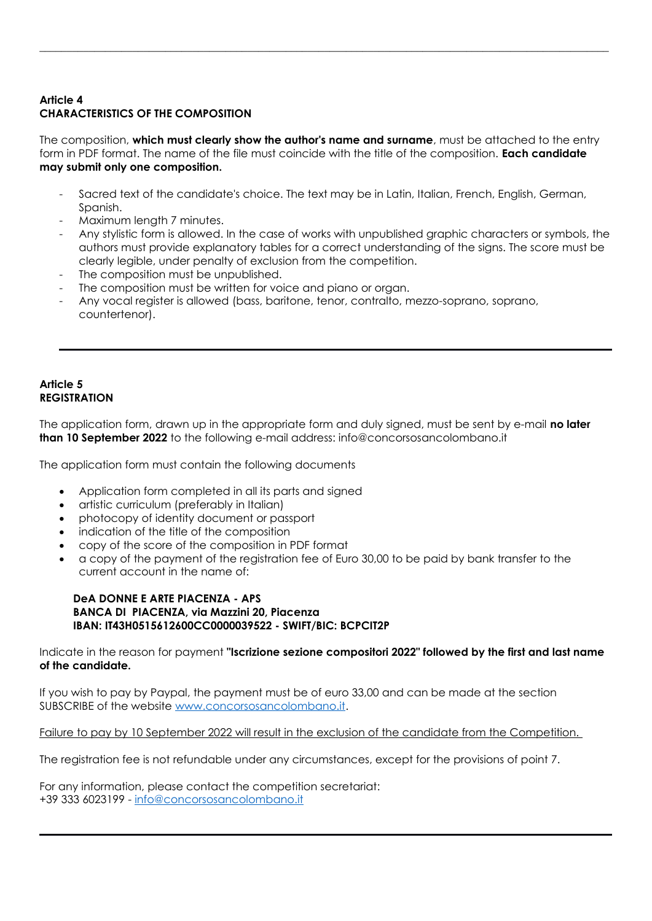# **Article 4 CHARACTERISTICS OF THE COMPOSITION**

The composition, **which must clearly show the author's name and surname**, must be attached to the entry form in PDF format. The name of the file must coincide with the title of the composition. **Each candidate may submit only one composition.**

\_\_\_\_\_\_\_\_\_\_\_\_\_\_\_\_\_\_\_\_\_\_\_\_\_\_\_\_\_\_\_\_\_\_\_\_\_\_\_\_\_\_\_\_\_\_\_\_\_\_\_\_\_\_\_\_\_\_\_\_\_\_\_\_\_\_\_\_\_\_\_\_\_\_\_\_\_\_\_\_\_\_\_\_\_\_\_\_\_\_\_\_\_\_\_\_\_\_\_\_\_\_\_\_

- Sacred text of the candidate's choice. The text may be in Latin, Italian, French, English, German, Spanish.
- Maximum length 7 minutes.
- Any stylistic form is allowed. In the case of works with unpublished graphic characters or symbols, the authors must provide explanatory tables for a correct understanding of the signs. The score must be clearly legible, under penalty of exclusion from the competition.
- The composition must be unpublished.
- The composition must be written for voice and piano or organ.
- Any vocal register is allowed (bass, baritone, tenor, contralto, mezzo-soprano, soprano, countertenor).

### **Article 5 REGISTRATION**

The application form, drawn up in the appropriate form and duly signed, must be sent by e-mail **no later than 10 September 2022** to the following e-mail address: info@concorsosancolombano.it

The application form must contain the following documents

- Application form completed in all its parts and signed
- artistic curriculum (preferably in Italian)
- photocopy of identity document or passport
- indication of the title of the composition
- copy of the score of the composition in PDF format
- a copy of the payment of the registration fee of Euro 30,00 to be paid by bank transfer to the current account in the name of:

#### **DeA DONNE E ARTE PIACENZA - APS BANCA DI PIACENZA, via Mazzini 20, Piacenza IBAN: IT43H0515612600CC0000039522 - SWIFT/BIC: BCPCIT2P**

Indicate in the reason for payment **"Iscrizione sezione compositori 2022" followed by the first and last name of the candidate.** 

If you wish to pay by Paypal, the payment must be of euro 33,00 and can be made at the section SUBSCRIBE of the website [www.concorsosancolombano.it.](http://www.concorsosancolombano.it/)

Failure to pay by 10 September 2022 will result in the exclusion of the candidate from the Competition.

The registration fee is not refundable under any circumstances, except for the provisions of point 7.

For any information, please contact the competition secretariat: +39 333 6023199 - [info@concorsosancolombano.it](mailto:info@concorsosancolombano.it)